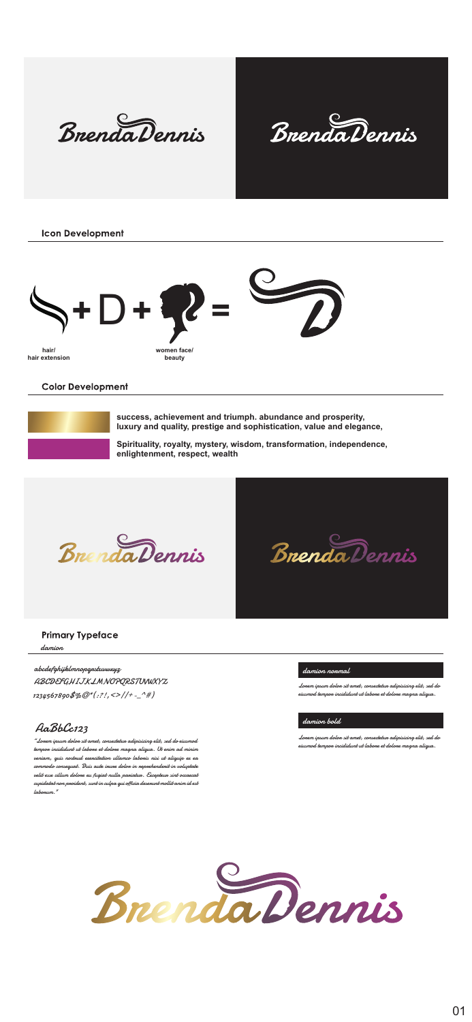Bnenda Dennis



**Icon Development** 



Color Development

**success, achievement and triumph. abundance and prosperity,** 

**luxury and quality, prestige and sophistication, value and elegance,** 

**Spirituality, royalty, mystery, wisdom, transformation, independence, enlightenment, respect, wealth**



Primary Typeface

## abcdefghijklmnopqrstuvwxyz

ABCDEFGHIJKLMNOPQRSTUWXYZ 1234567890\$%@\*(:?!,<>/\+-\_^#)

## AaBbCc123

"Lorem ipsum dolor sit amet, consectetur adipisicing elit, sed do eiusmod tempor incididunt ut labore et dolore magna aliqua. Ut enim ad minim veniam, quis nostrud exercitation ullamco laboris nisi ut aliquip ex ea commodo, quat. Anno consequente autonomic autonomic in reprehenderit in voluptate<br>consequente dolor in representative in reprehenderit in voluptate<br>color in volume dolor in volume in representative in consequente in volume

Lorem ipsum dolor sit amet, consectetur adipisicing elit, sed do eiusmod tempor incididunt ut labore et dolore magna aliqua.